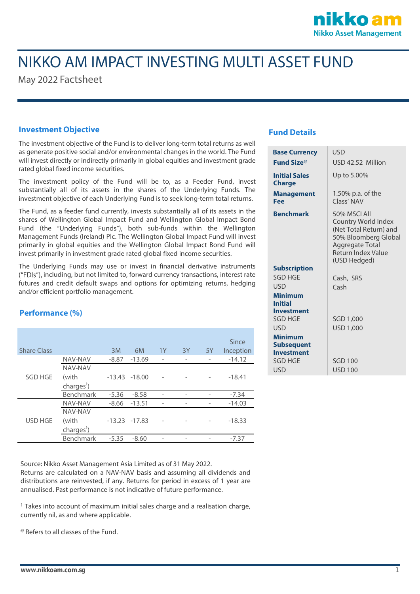

# NIKKO AM IMPACT INVESTING MULTI ASSET FUND

May 2022 Factsheet

### **Investment Objective**

The investment objective of the Fund is to deliver long-term total returns as well as generate positive social and/or environmental changes in the world. The Fund will invest directly or indirectly primarily in global equities and investment grade rated global fixed income securities.

The investment policy of the Fund will be to, as a Feeder Fund, invest substantially all of its assets in the shares of the Underlying Funds. The investment objective of each Underlying Fund is to seek long-term total returns.

The Fund, as a feeder fund currently, invests substantially all of its assets in the shares of Wellington Global Impact Fund and Wellington Global Impact Bond Fund (the "Underlying Funds"), both sub-funds within the Wellington Management Funds (Ireland) Plc. The Wellington Global Impact Fund will invest primarily in global equities and the Wellington Global Impact Bond Fund will invest primarily in investment grade rated global fixed income securities.

The Underlying Funds may use or invest in financial derivative instruments ("FDIs"), including, but not limited to, forward currency transactions, interest rate futures and credit default swaps and options for optimizing returns, hedging and/or efficient portfolio management.

#### **Performance (%)**

|                    |                        |         |                  |                          |    |    | Since     |
|--------------------|------------------------|---------|------------------|--------------------------|----|----|-----------|
| <b>Share Class</b> |                        | 3M      | 6M               | 1Y                       | 3Y | 5Y | Inception |
| <b>SGD HGE</b>     | NAV-NAV                | $-8.87$ | $-13.69$         | -                        | -  |    | $-14.12$  |
|                    | NAV-NAV                |         |                  |                          |    |    |           |
|                    | (with                  |         | $-13.43 - 18.00$ |                          |    |    | $-18.41$  |
|                    | charges <sup>1</sup> ) |         |                  |                          |    |    |           |
|                    | Benchmark              | $-5.36$ | $-8.58$          | $\overline{\phantom{0}}$ |    |    | $-7.34$   |
| <b>USD HGE</b>     | <b>NAV-NAV</b>         | $-8.66$ | $-13.51$         | -                        |    |    | $-14.03$  |
|                    | NAV-NAV                |         |                  |                          |    |    |           |
|                    | (with                  |         | $-13.23 -17.83$  |                          |    |    | $-18.33$  |
|                    | charges <sup>1</sup> ) |         |                  |                          |    |    |           |
|                    | Benchmark              | $-5.35$ | $-8.60$          |                          |    |    | $-7.37$   |

Source: Nikko Asset Management Asia Limited as of 31 May 2022. Returns are calculated on a NAV-NAV basis and assuming all dividends and distributions are reinvested, if any. Returns for period in excess of 1 year are annualised. Past performance is not indicative of future performance.

 $1$  Takes into account of maximum initial sales charge and a realisation charge, currently nil, as and where applicable.

@ Refers to all classes of the Fund.

### **Fund Details**

| <b>Base Currency</b>                                     | USD                                                                                                                                                  |  |  |  |
|----------------------------------------------------------|------------------------------------------------------------------------------------------------------------------------------------------------------|--|--|--|
| Fund Size®                                               | USD 42.52 Million                                                                                                                                    |  |  |  |
| <b>Initial Sales</b><br><b>Charge</b>                    | Up to 5.00%                                                                                                                                          |  |  |  |
| Management<br>Fee                                        | 1.50% p.a. of the<br>Class' NAV                                                                                                                      |  |  |  |
| <b>Benchmark</b>                                         | 50% MSCLAIL<br>Country World Index<br>(Net Total Return) and<br>50% Bloomberg Global<br><b>Aggregate Total</b><br>Return Index Value<br>(USD Hedged) |  |  |  |
| <b>Subscription</b>                                      |                                                                                                                                                      |  |  |  |
| SGD HGF                                                  | Cash, SRS                                                                                                                                            |  |  |  |
| USD                                                      | Cash                                                                                                                                                 |  |  |  |
| <b>Minimum</b><br><b>Initial</b><br><b>Investment</b>    |                                                                                                                                                      |  |  |  |
| SGD HGE                                                  | SGD 1,000                                                                                                                                            |  |  |  |
| USD                                                      | <b>USD 1,000</b>                                                                                                                                     |  |  |  |
| <b>Minimum</b><br><b>Subsequent</b><br><b>Investment</b> |                                                                                                                                                      |  |  |  |
| SGD HGE                                                  | <b>SGD 100</b>                                                                                                                                       |  |  |  |
| <b>USD</b>                                               | <b>USD 100</b>                                                                                                                                       |  |  |  |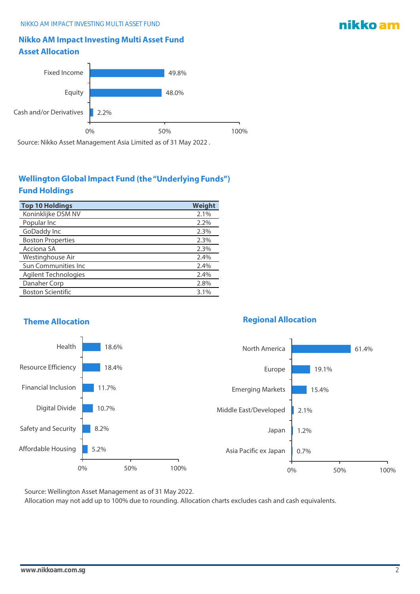### **Nikko AM Impact Investing Multi Asset Fund Asset Allocation**



Source: Nikko Asset Management Asia Limited as of 31 May 2022 .

## **Wellington Global Impact Fund (the "Underlying Funds") Fund Holdings**

| <b>Top 10 Holdings</b>      | Weight |
|-----------------------------|--------|
| Koninklijke DSM NV          | 2.1%   |
| Popular Inc                 | 2.2%   |
| GoDaddy Inc                 | 2.3%   |
| <b>Boston Properties</b>    | 2.3%   |
| Acciona SA                  | 2.3%   |
| Westinghouse Air            | 2.4%   |
| <b>Sun Communities Inc.</b> | 2.4%   |
| <b>Agilent Technologies</b> | 2.4%   |
| Danaher Corp                | 2.8%   |
| <b>Boston Scientific</b>    | 3.1%   |
|                             |        |

### **Theme Allocation Regional Allocation**

#### 61.4% 19.1% 15.4% 2.1% 1.2% 0.7% 0% 50% 100% North America Europe Emerging Markets Middle East/Developed Japan Asia Pacific ex Japan 18.6% 18.4% 11.7% 10.7% 8.2% 5.2% 0% 50% 100% Health Resource Efficiency Financial Inclusion Digital Divide Safety and Security Affordable Housing

Source: Wellington Asset Management as of 31 May 2022.

Allocation may not add up to 100% due to rounding. Allocation charts excludes cash and cash equivalents.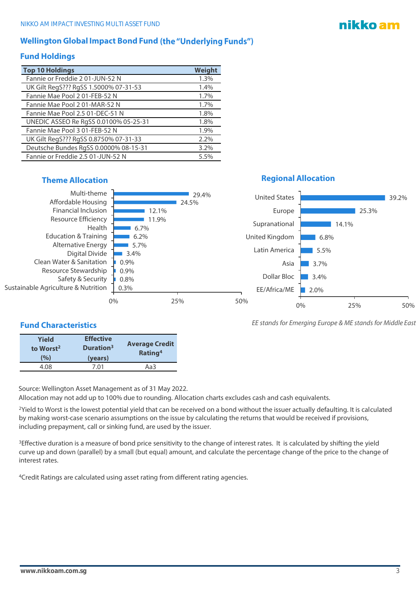### **Wellington Global Impact Bond Fund (the "Underlying Funds")**

#### **Fund Holdings**

| <b>Top 10 Holdings</b>                | Weight |
|---------------------------------------|--------|
| Fannie or Freddie 201-JUN-52 N        | 1.3%   |
| UK Gilt RegS??? RgSS 1.5000% 07-31-53 | 1.4%   |
| Fannie Mae Pool 201-FEB-52 N          | 1.7%   |
| Fannie Mae Pool 201-MAR-52 N          | 1.7%   |
| Fannie Mae Pool 2.5 01-DEC-51 N       | 1.8%   |
| UNEDIC ASSEO Re RgSS 0.0100% 05-25-31 | 1.8%   |
| Fannie Mae Pool 3 01-FEB-52 N         | 1.9%   |
| UK Gilt RegS??? RgSS 0.8750% 07-31-33 | 2.2%   |
| Deutsche Bundes RgSS 0.0000% 08-15-31 | 3.2%   |
| Fannie or Freddie 2.5 01-JUN-52 N     | 5.5%   |

| Multi-theme                         | 29.4% |
|-------------------------------------|-------|
| Affordable Housing                  | 24.5% |
| <b>Financial Inclusion</b>          | 12.1% |
| Resource Efficiency                 | 11.9% |
| Health                              | 6.7%  |
| Education & Training                | 6.2%  |
| Alternative Energy                  | 5.7%  |
| Digital Divide                      | 3.4%  |
| Clean Water & Sanitation            | 0.9%  |
| Resource Stewardship                | 0.9%  |
| Safety & Security                   | 0.8%  |
| Sustainable Agriculture & Nutrition | 0.3%  |

### **Fund Characteristics**

| <b>Yield</b><br>to Worst <sup>2</sup> | <b>Effective</b><br>Duration <sup>3</sup> | <b>Average Credit</b><br>Rating <sup>4</sup> |  |
|---------------------------------------|-------------------------------------------|----------------------------------------------|--|
| (%)                                   | (years)                                   |                                              |  |
| 4.08                                  | 7.01                                      | Aa3                                          |  |

Source: Wellington Asset Management as of 31 May 2022.

Allocation may not add up to 100% due to rounding. Allocation charts excludes cash and cash equivalents.

<sup>2</sup>Yield to Worst is the lowest potential yield that can be received on a bond without the issuer actually defaulting. It is calculated by making worst-case scenario assumptions on the issue by calculating the returns that would be received if provisions, including prepayment, call or sinking fund, are used by the issuer.

<sup>3</sup>Effective duration is a measure of bond price sensitivity to the change of interest rates. It is calculated by shifting the yield curve up and down (parallel) by a small (but equal) amount, and calculate the percentage change of the price to the change of interest rates.

<sup>4</sup>Credit Ratings are calculated using asset rating from different rating agencies.

### **Theme Allocation Regional Allocation**

United States

Europe



*EE stands for Emerging Europe & ME stands for Middle East*

0% 25% 50%

39.2%

25.3%